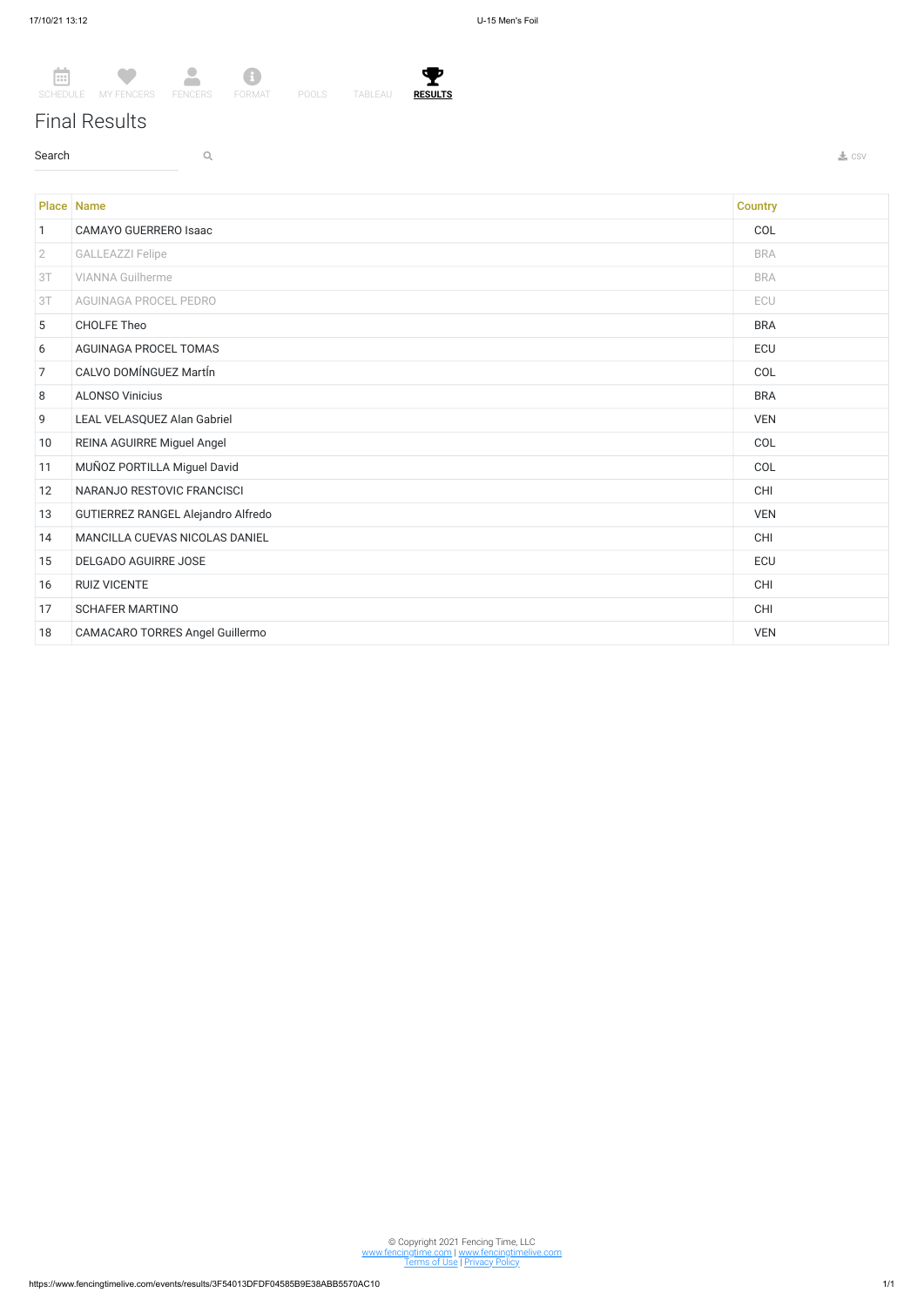## Final Results

 $\sim$  Search  $\sim$  Q. The contract of the contract of the contract of the contract of the contract of the contract of the contract of the contract of the contract of the contract of the contract of the contract of the contr



© Copyright 2021 Fencing Time, LLC www.fencingtime.com | www.fencingtimelive.com <u>Terms of Use | Privacy Policy</u>

|                | <b>Place Name</b>                  | <b>Country</b> |
|----------------|------------------------------------|----------------|
| $\mathbf{1}$   | <b>CAMAYO GUERRERO Isaac</b>       | COL            |
| $\overline{2}$ | <b>GALLEAZZI Felipe</b>            | <b>BRA</b>     |
| 3T             | <b>VIANNA Guilherme</b>            | <b>BRA</b>     |
| 3T             | AGUINAGA PROCEL PEDRO              | ECU            |
| 5              | <b>CHOLFE Theo</b>                 | <b>BRA</b>     |
| 6              | AGUINAGA PROCEL TOMAS              | <b>ECU</b>     |
| $\overline{7}$ | CALVO DOMÍNGUEZ MartÍn             | COL            |
| 8              | <b>ALONSO Vinicius</b>             | <b>BRA</b>     |
| 9              | LEAL VELASQUEZ Alan Gabriel        | <b>VEN</b>     |
| 10             | REINA AGUIRRE Miguel Angel         | COL            |
| 11             | MUÑOZ PORTILLA Miguel David        | COL            |
| 12             | NARANJO RESTOVIC FRANCISCI         | CHI            |
| 13             | GUTIERREZ RANGEL Alejandro Alfredo | <b>VEN</b>     |
| 14             | MANCILLA CUEVAS NICOLAS DANIEL     | CHI            |
| 15             | DELGADO AGUIRRE JOSE               | ECU            |
| 16             | <b>RUIZ VICENTE</b>                | CHI            |
| 17             | <b>SCHAFER MARTINO</b>             | CHI            |
| 18             | CAMACARO TORRES Angel Guillermo    | <b>VEN</b>     |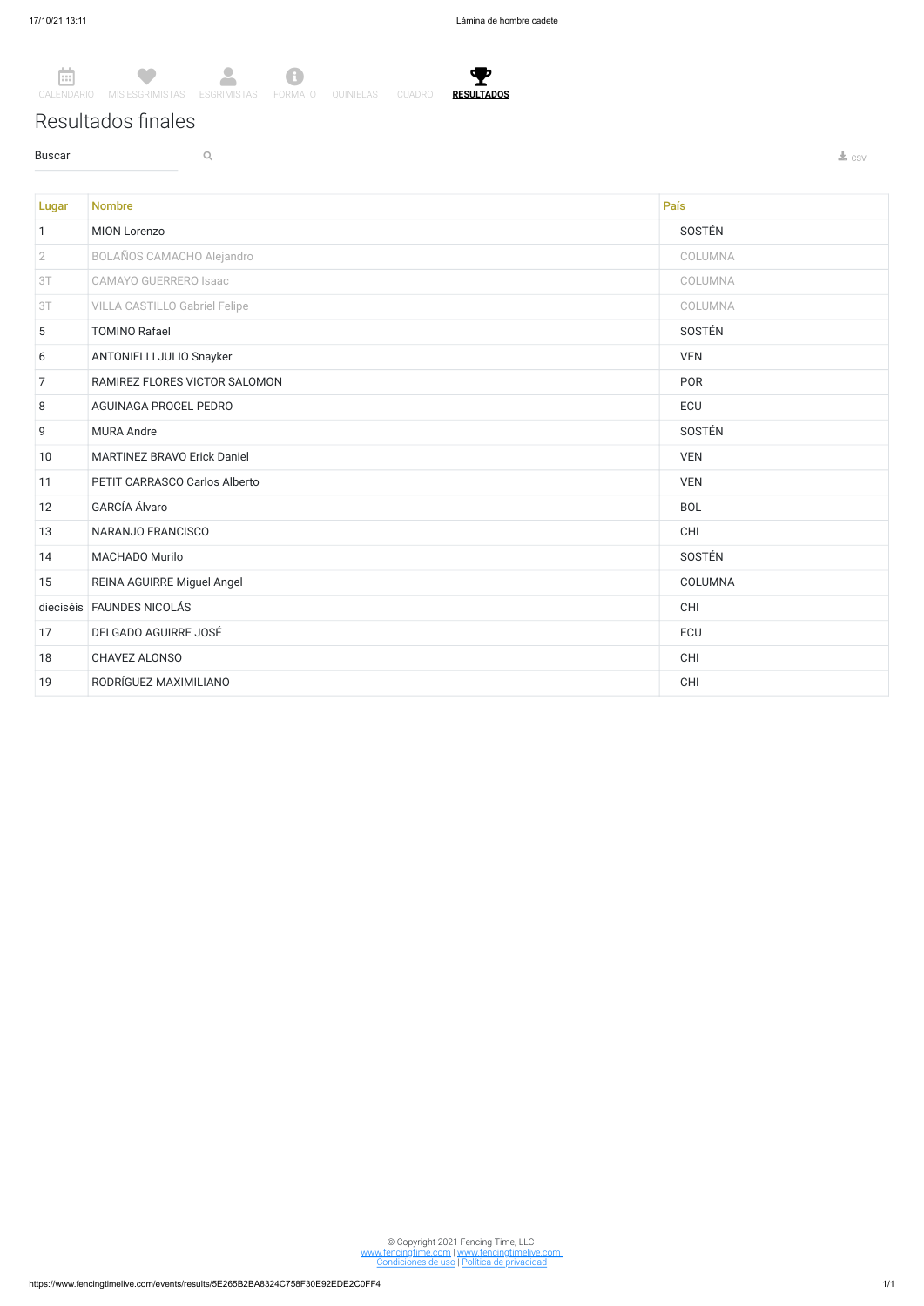Ÿ. **RESULTADOS**

Resultados finales

**Buscar Q Q** 



Lugar Nombre País (1999), a comparador de la constructión de la comparador de la comparador de la provincia de 1 MION Lorenzo SOSTÉN 2 BOLAÑOS CAMACHO Alejandro COLUMNA 3T CAMAYO GUERRERO Isaac COLUMNA 3T VILLA CASTILLO Gabriel Felipe COLUMNA 5 TOMINO Rafael SOSTÉN 6 ANTONIELLI JULIO Snayker VEN The RAMIREZ FLORES VICTOR SALOMON And the state of the state of the state of the PORT of the PORT of the PORT of the PORT of the PORT of the PORT of the PORT of the PORT of the PORT of the PORT of the PORT of the PORT of t 8 AGUINAGA PROCEL PEDRO ECU 9 MURA Andre SOSTÈN SOSTÈN ESSENTIALE EN L'ANNE EN L'ANNE EN L'ANNE EN L'ANNE EN L'ANNE EN L'ANNE EN L'ANNE EN 10 MARTINEZ BRAVO Erick Daniel VEN 11 PETIT CARRASCO Carlos Alberto VEN 12 GARCIA Álvaro BOL Estados e a constante a constante a constante a constante a BOL Estados e a BOL Estados e 13 NARANJO FRANCISCO CHI 14 MACHADO Murilo SOSTÉN 15 REINA AGUIRRE Miguel Angel COLUMNA dieciséis FAUNDES NICOLÁS CHI 17 DELGADO AGUIRRE JOSÉ ECU 18 CHAVEZ ALONSO CHI 19 RODRÍGUEZ MAXIMILIANO CHI

© Copyright 2021 Fencing Time, LLC www.fencingtime.com | www.fencingtimelive.com Condiciones de uso | Política de privacidad